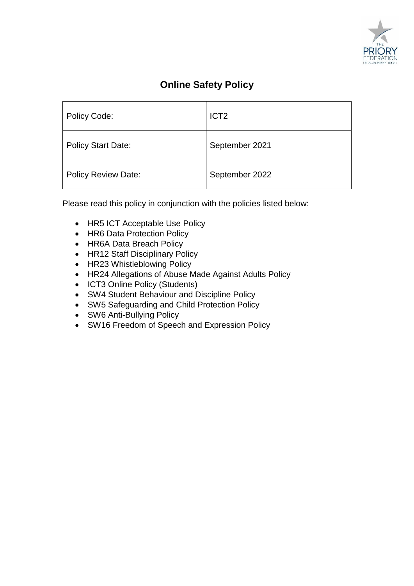

# **Online Safety Policy**

| Policy Code:               | ICT <sub>2</sub> |
|----------------------------|------------------|
| <b>Policy Start Date:</b>  | September 2021   |
| <b>Policy Review Date:</b> | September 2022   |

Please read this policy in conjunction with the policies listed below:

- HR5 ICT Acceptable Use Policy
- HR6 Data Protection Policy
- HR6A Data Breach Policy
- HR12 Staff Disciplinary Policy
- HR23 Whistleblowing Policy
- HR24 Allegations of Abuse Made Against Adults Policy
- ICT3 Online Policy (Students)
- SW4 Student Behaviour and Discipline Policy
- SW5 Safeguarding and Child Protection Policy
- SW6 Anti-Bullying Policy
- SW16 Freedom of Speech and Expression Policy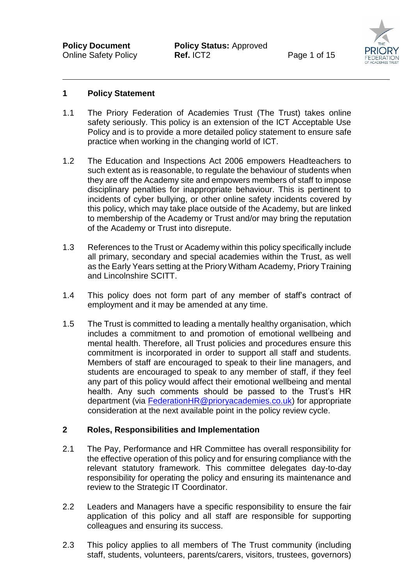

#### **1 Policy Statement**

- 1.1 The Priory Federation of Academies Trust (The Trust) takes online safety seriously. This policy is an extension of the ICT Acceptable Use Policy and is to provide a more detailed policy statement to ensure safe practice when working in the changing world of ICT.
- 1.2 The Education and Inspections Act 2006 empowers Headteachers to such extent as is reasonable, to regulate the behaviour of students when they are off the Academy site and empowers members of staff to impose disciplinary penalties for inappropriate behaviour. This is pertinent to incidents of cyber bullying, or other online safety incidents covered by this policy, which may take place outside of the Academy, but are linked to membership of the Academy or Trust and/or may bring the reputation of the Academy or Trust into disrepute.
- 1.3 References to the Trust or Academy within this policy specifically include all primary, secondary and special academies within the Trust, as well as the Early Years setting at the Priory Witham Academy, Priory Training and Lincolnshire SCITT.
- 1.4 This policy does not form part of any member of staff's contract of employment and it may be amended at any time.
- 1.5 The Trust is committed to leading a mentally healthy organisation, which includes a commitment to and promotion of emotional wellbeing and mental health. Therefore, all Trust policies and procedures ensure this commitment is incorporated in order to support all staff and students. Members of staff are encouraged to speak to their line managers, and students are encouraged to speak to any member of staff, if they feel any part of this policy would affect their emotional wellbeing and mental health. Any such comments should be passed to the Trust's HR department (via [FederationHR@prioryacademies.co.uk\)](mailto:FederationHR@prioryacademies.co.uk) for appropriate consideration at the next available point in the policy review cycle.

#### **2 Roles, Responsibilities and Implementation**

- 2.1 The Pay, Performance and HR Committee has overall responsibility for the effective operation of this policy and for ensuring compliance with the relevant statutory framework. This committee delegates day-to-day responsibility for operating the policy and ensuring its maintenance and review to the Strategic IT Coordinator.
- 2.2 Leaders and Managers have a specific responsibility to ensure the fair application of this policy and all staff are responsible for supporting colleagues and ensuring its success.
- 2.3 This policy applies to all members of The Trust community (including staff, students, volunteers, parents/carers, visitors, trustees, governors)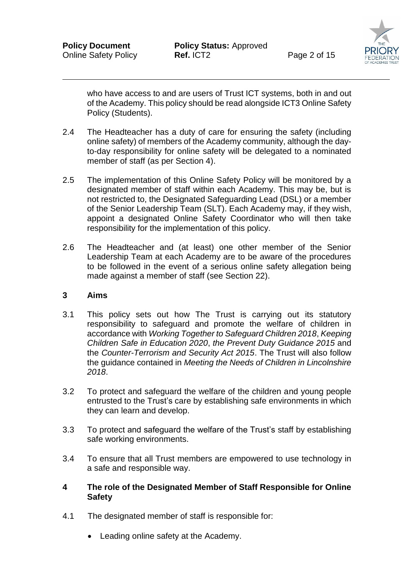

who have access to and are users of Trust ICT systems, both in and out of the Academy. This policy should be read alongside ICT3 Online Safety Policy (Students).

- 2.4 The Headteacher has a duty of care for ensuring the safety (including online safety) of members of the Academy community, although the dayto-day responsibility for online safety will be delegated to a nominated member of staff (as per Section 4).
- 2.5 The implementation of this Online Safety Policy will be monitored by a designated member of staff within each Academy. This may be, but is not restricted to, the Designated Safeguarding Lead (DSL) or a member of the Senior Leadership Team (SLT). Each Academy may, if they wish, appoint a designated Online Safety Coordinator who will then take responsibility for the implementation of this policy.
- 2.6 The Headteacher and (at least) one other member of the Senior Leadership Team at each Academy are to be aware of the procedures to be followed in the event of a serious online safety allegation being made against a member of staff (see Section 22).

#### **3 Aims**

- 3.1 This policy sets out how The Trust is carrying out its statutory responsibility to safeguard and promote the welfare of children in accordance with *Working Together to Safeguard Children 2018*, *Keeping Children Safe in Education 2020*, *the Prevent Duty Guidance 2015* and the *Counter-Terrorism and Security Act 2015*. The Trust will also follow the guidance contained in *Meeting the Needs of Children in Lincolnshire 2018*.
- 3.2 To protect and safeguard the welfare of the children and young people entrusted to the Trust's care by establishing safe environments in which they can learn and develop.
- 3.3 To protect and safeguard the welfare of the Trust's staff by establishing safe working environments.
- 3.4 To ensure that all Trust members are empowered to use technology in a safe and responsible way.
- **4 The role of the Designated Member of Staff Responsible for Online Safety**
- 4.1 The designated member of staff is responsible for:
	- Leading online safety at the Academy.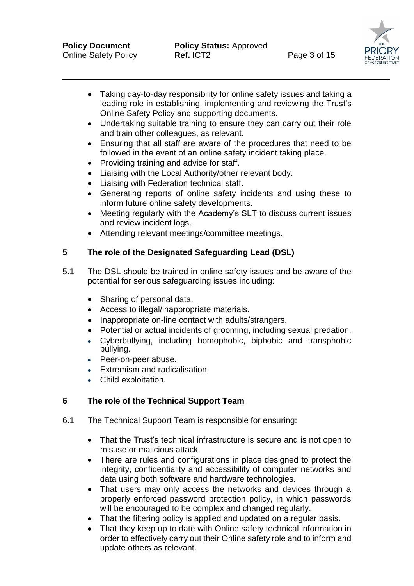

- Taking day-to-day responsibility for online safety issues and taking a leading role in establishing, implementing and reviewing the Trust's Online Safety Policy and supporting documents.
- Undertaking suitable training to ensure they can carry out their role and train other colleagues, as relevant.
- Ensuring that all staff are aware of the procedures that need to be followed in the event of an online safety incident taking place.
- Providing training and advice for staff.
- Liaising with the Local Authority/other relevant body.
- Liaising with Federation technical staff.
- Generating reports of online safety incidents and using these to inform future online safety developments.
- Meeting regularly with the Academy's SLT to discuss current issues and review incident logs.
- Attending relevant meetings/committee meetings.

# **5 The role of the Designated Safeguarding Lead (DSL)**

- 5.1 The DSL should be trained in online safety issues and be aware of the potential for serious safeguarding issues including:
	- Sharing of personal data.
	- Access to illegal/inappropriate materials.
	- Inappropriate on-line contact with adults/strangers.
	- Potential or actual incidents of grooming, including sexual predation.
	- Cyberbullying, including homophobic, biphobic and transphobic bullying.
	- Peer-on-peer abuse.
	- Extremism and radicalisation.
	- Child exploitation.

# **6 The role of the Technical Support Team**

- 6.1 The Technical Support Team is responsible for ensuring:
	- That the Trust's technical infrastructure is secure and is not open to misuse or malicious attack.
	- There are rules and configurations in place designed to protect the integrity, confidentiality and accessibility of computer networks and data using both software and hardware technologies.
	- That users may only access the networks and devices through a properly enforced password protection policy, in which passwords will be encouraged to be complex and changed regularly.
	- That the filtering policy is applied and updated on a regular basis.
	- That they keep up to date with Online safety technical information in order to effectively carry out their Online safety role and to inform and update others as relevant.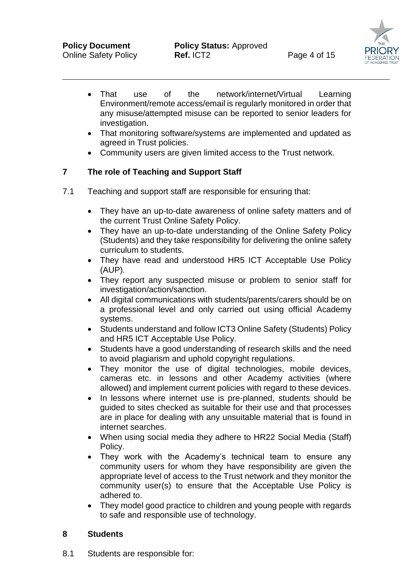- That use of the network/internet/Virtual Learning Environment/remote access/email is regularly monitored in order that any misuse/attempted misuse can be reported to senior leaders for investigation.
- That monitoring software/systems are implemented and updated as agreed in Trust policies.
- Community users are given limited access to the Trust network.

# **7 The role of Teaching and Support Staff**

- 7.1 Teaching and support staff are responsible for ensuring that:
	- They have an up-to-date awareness of online safety matters and of the current Trust Online Safety Policy.
	- They have an up-to-date understanding of the Online Safety Policy (Students) and they take responsibility for delivering the online safety curriculum to students.
	- They have read and understood HR5 ICT Acceptable Use Policy (AUP).
	- They report any suspected misuse or problem to senior staff for investigation/action/sanction.
	- All digital communications with students/parents/carers should be on a professional level and only carried out using official Academy systems.
	- Students understand and follow ICT3 Online Safety (Students) Policy and HR5 ICT Acceptable Use Policy.
	- Students have a good understanding of research skills and the need to avoid plagiarism and uphold copyright regulations.
	- They monitor the use of digital technologies, mobile devices, cameras etc. in lessons and other Academy activities (where allowed) and implement current policies with regard to these devices.
	- In lessons where internet use is pre-planned, students should be guided to sites checked as suitable for their use and that processes are in place for dealing with any unsuitable material that is found in internet searches.
	- When using social media they adhere to HR22 Social Media (Staff) Policy.
	- They work with the Academy's technical team to ensure any community users for whom they have responsibility are given the appropriate level of access to the Trust network and they monitor the community user(s) to ensure that the Acceptable Use Policy is adhered to.
	- They model good practice to children and young people with regards to safe and responsible use of technology.

#### **8 Students**

8.1 Students are responsible for: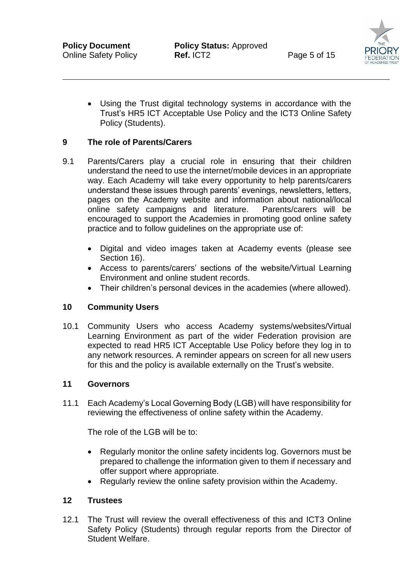

 Using the Trust digital technology systems in accordance with the Trust's HR5 ICT Acceptable Use Policy and the ICT3 Online Safety Policy (Students).

## **9 The role of Parents/Carers**

- 9.1 Parents/Carers play a crucial role in ensuring that their children understand the need to use the internet/mobile devices in an appropriate way. Each Academy will take every opportunity to help parents/carers understand these issues through parents' evenings, newsletters, letters, pages on the Academy website and information about national/local online safety campaigns and literature. Parents/carers will be encouraged to support the Academies in promoting good online safety practice and to follow guidelines on the appropriate use of:
	- Digital and video images taken at Academy events (please see Section 16).
	- Access to parents/carers' sections of the website/Virtual Learning Environment and online student records.
	- Their children's personal devices in the academies (where allowed).

#### **10 Community Users**

10.1 Community Users who access Academy systems/websites/Virtual Learning Environment as part of the wider Federation provision are expected to read HR5 ICT Acceptable Use Policy before they log in to any network resources. A reminder appears on screen for all new users for this and the policy is available externally on the Trust's website.

#### **11 Governors**

11.1 Each Academy's Local Governing Body (LGB) will have responsibility for reviewing the effectiveness of online safety within the Academy.

The role of the LGB will be to:

- Regularly monitor the online safety incidents log. Governors must be prepared to challenge the information given to them if necessary and offer support where appropriate.
- Regularly review the online safety provision within the Academy.

#### **12 Trustees**

12.1 The Trust will review the overall effectiveness of this and ICT3 Online Safety Policy (Students) through regular reports from the Director of Student Welfare.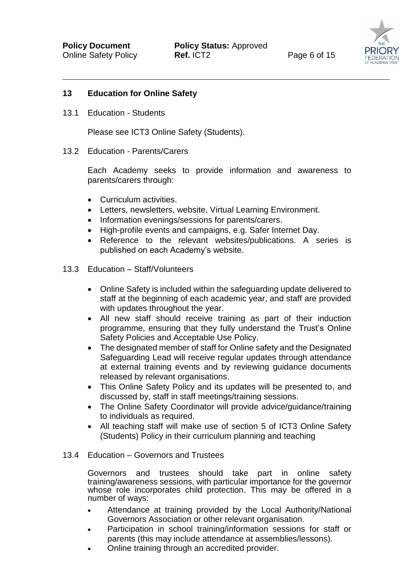

#### **13 Education for Online Safety**

13.1 Education - Students

Please see ICT3 Online Safety (Students).

13.2 Education - Parents/Carers

Each Academy seeks to provide information and awareness to parents/carers through:

- Curriculum activities.
- Letters, newsletters, website, Virtual Learning Environment.
- Information evenings/sessions for parents/carers.
- High-profile events and campaigns, e.g. Safer Internet Day.
- Reference to the relevant websites/publications. A series is published on each Academy's website.

#### 13.3 Education – Staff/Volunteers

- Online Safety is included within the safeguarding update delivered to staff at the beginning of each academic year, and staff are provided with updates throughout the year.
- All new staff should receive training as part of their induction programme, ensuring that they fully understand the Trust's Online Safety Policies and Acceptable Use Policy.
- The designated member of staff for Online safety and the Designated Safeguarding Lead will receive regular updates through attendance at external training events and by reviewing guidance documents released by relevant organisations.
- This Online Safety Policy and its updates will be presented to, and discussed by, staff in staff meetings/training sessions.
- The Online Safety Coordinator will provide advice/guidance/training to individuals as required.
- All teaching staff will make use of section 5 of ICT3 Online Safety (Students) Policy in their curriculum planning and teaching

#### 13.4 Education – Governors and Trustees

Governors and trustees should take part in online safety training/awareness sessions, with particular importance for the governor whose role incorporates child protection. This may be offered in a number of ways:

- Attendance at training provided by the Local Authority/National Governors Association or other relevant organisation.
- Participation in school training/information sessions for staff or parents (this may include attendance at assemblies/lessons).
- Online training through an accredited provider.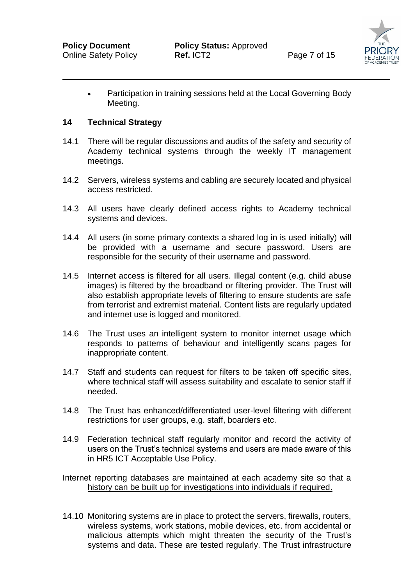

 Participation in training sessions held at the Local Governing Body Meeting.

#### **14 Technical Strategy**

- 14.1 There will be regular discussions and audits of the safety and security of Academy technical systems through the weekly IT management meetings.
- 14.2 Servers, wireless systems and cabling are securely located and physical access restricted.
- 14.3 All users have clearly defined access rights to Academy technical systems and devices.
- 14.4 All users (in some primary contexts a shared log in is used initially) will be provided with a username and secure password. Users are responsible for the security of their username and password.
- 14.5 Internet access is filtered for all users. Illegal content (e.g. child abuse images) is filtered by the broadband or filtering provider. The Trust will also establish appropriate levels of filtering to ensure students are safe from terrorist and extremist material. Content lists are regularly updated and internet use is logged and monitored.
- 14.6 The Trust uses an intelligent system to monitor internet usage which responds to patterns of behaviour and intelligently scans pages for inappropriate content.
- 14.7 Staff and students can request for filters to be taken off specific sites, where technical staff will assess suitability and escalate to senior staff if needed.
- 14.8 The Trust has enhanced/differentiated user-level filtering with different restrictions for user groups, e.g. staff, boarders etc.
- 14.9 Federation technical staff regularly monitor and record the activity of users on the Trust's technical systems and users are made aware of this in HR5 ICT Acceptable Use Policy.

Internet reporting databases are maintained at each academy site so that a history can be built up for investigations into individuals if required.

14.10 Monitoring systems are in place to protect the servers, firewalls, routers, wireless systems, work stations, mobile devices, etc. from accidental or malicious attempts which might threaten the security of the Trust's systems and data. These are tested regularly. The Trust infrastructure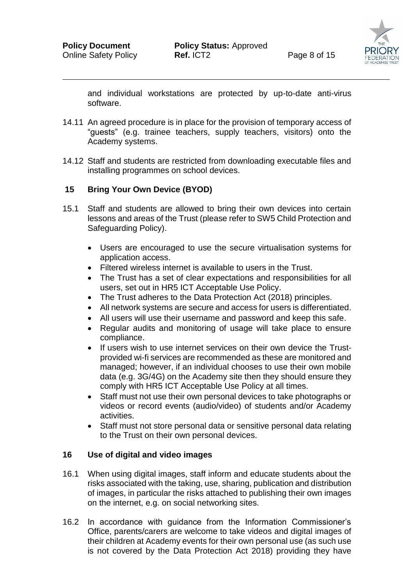

and individual workstations are protected by up-to-date anti-virus software.

- 14.11 An agreed procedure is in place for the provision of temporary access of "guests" (e.g. trainee teachers, supply teachers, visitors) onto the Academy systems.
- 14.12 Staff and students are restricted from downloading executable files and installing programmes on school devices.

#### **15 Bring Your Own Device (BYOD)**

- 15.1 Staff and students are allowed to bring their own devices into certain lessons and areas of the Trust (please refer to SW5 Child Protection and Safeguarding Policy).
	- Users are encouraged to use the secure virtualisation systems for application access.
	- Filtered wireless internet is available to users in the Trust.
	- The Trust has a set of clear expectations and responsibilities for all users, set out in HR5 ICT Acceptable Use Policy.
	- The Trust adheres to the Data Protection Act (2018) principles.
	- All network systems are secure and access for users is differentiated.
	- All users will use their username and password and keep this safe.
	- Regular audits and monitoring of usage will take place to ensure compliance.
	- If users wish to use internet services on their own device the Trustprovided wi-fi services are recommended as these are monitored and managed; however, if an individual chooses to use their own mobile data (e.g. 3G/4G) on the Academy site then they should ensure they comply with HR5 ICT Acceptable Use Policy at all times.
	- Staff must not use their own personal devices to take photographs or videos or record events (audio/video) of students and/or Academy activities.
	- Staff must not store personal data or sensitive personal data relating to the Trust on their own personal devices.

# **16 Use of digital and video images**

- 16.1 When using digital images, staff inform and educate students about the risks associated with the taking, use, sharing, publication and distribution of images, in particular the risks attached to publishing their own images on the internet, e.g. on social networking sites.
- 16.2 In accordance with guidance from the Information Commissioner's Office, parents/carers are welcome to take videos and digital images of their children at Academy events for their own personal use (as such use is not covered by the Data Protection Act 2018) providing they have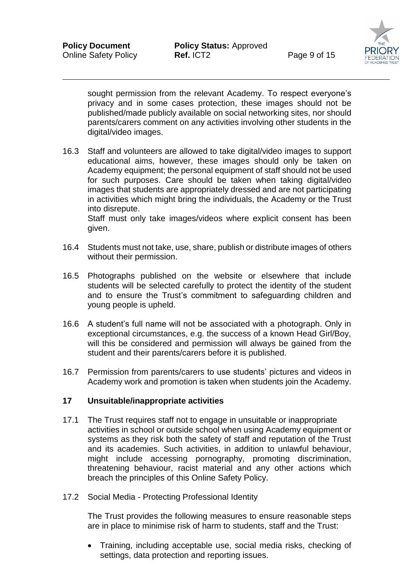

sought permission from the relevant Academy. To respect everyone's privacy and in some cases protection, these images should not be published/made publicly available on social networking sites, nor should parents/carers comment on any activities involving other students in the digital/video images.

16.3 Staff and volunteers are allowed to take digital/video images to support educational aims, however, these images should only be taken on Academy equipment; the personal equipment of staff should not be used for such purposes. Care should be taken when taking digital/video images that students are appropriately dressed and are not participating in activities which might bring the individuals, the Academy or the Trust into disrepute.

Staff must only take images/videos where explicit consent has been given.

- 16.4 Students must not take, use, share, publish or distribute images of others without their permission.
- 16.5 Photographs published on the website or elsewhere that include students will be selected carefully to protect the identity of the student and to ensure the Trust's commitment to safeguarding children and young people is upheld.
- 16.6 A student's full name will not be associated with a photograph. Only in exceptional circumstances, e.g. the success of a known Head Girl/Boy, will this be considered and permission will always be gained from the student and their parents/carers before it is published.
- 16.7 Permission from parents/carers to use students' pictures and videos in Academy work and promotion is taken when students join the Academy.

#### **17 Unsuitable/inappropriate activities**

- 17.1 The Trust requires staff not to engage in unsuitable or inappropriate activities in school or outside school when using Academy equipment or systems as they risk both the safety of staff and reputation of the Trust and its academies. Such activities, in addition to unlawful behaviour, might include accessing pornography, promoting discrimination, threatening behaviour, racist material and any other actions which breach the principles of this Online Safety Policy.
- 17.2 Social Media Protecting Professional Identity

The Trust provides the following measures to ensure reasonable steps are in place to minimise risk of harm to students, staff and the Trust:

 Training, including acceptable use, social media risks, checking of settings, data protection and reporting issues.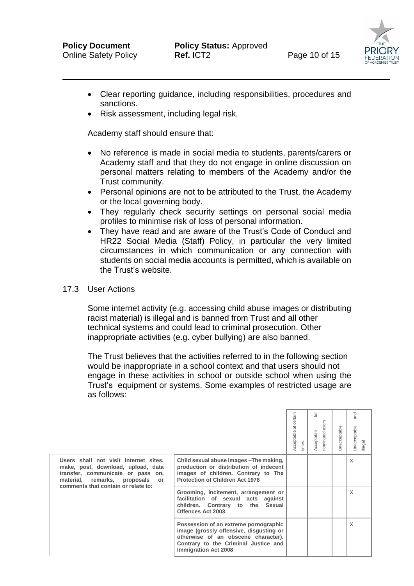

- Clear reporting guidance, including responsibilities, procedures and sanctions.
- Risk assessment, including legal risk.

Academy staff should ensure that:

- No reference is made in social media to students, parents/carers or Academy staff and that they do not engage in online discussion on personal matters relating to members of the Academy and/or the Trust community.
- Personal opinions are not to be attributed to the Trust, the Academy or the local governing body.
- They regularly check security settings on personal social media profiles to minimise risk of loss of personal information.
- They have read and are aware of the Trust's Code of Conduct and HR22 Social Media (Staff) Policy, in particular the very limited circumstances in which communication or any connection with students on social media accounts is permitted, which is available on the Trust's website.

#### 17.3 User Actions

 Some internet activity (e.g. accessing child abuse images or distributing racist material) is illegal and is banned from Trust and all other technical systems and could lead to criminal prosecution. Other inappropriate activities (e.g. cyber bullying) are also banned.

 The Trust believes that the activities referred to in the following section would be inappropriate in a school context and that users should not engage in these activities in school or outside school when using the Trust's equipment or systems. Some examples of restricted usage are as follows:

|                                                                                                                                                                                            |                                                                                                                                                                                                | Acceptable at certain<br>times | ō<br>nominated users<br>Acceptable | Jnacceptable | and<br>Jnacceptable<br>illegal |
|--------------------------------------------------------------------------------------------------------------------------------------------------------------------------------------------|------------------------------------------------------------------------------------------------------------------------------------------------------------------------------------------------|--------------------------------|------------------------------------|--------------|--------------------------------|
| Users shall not visit Internet sites,<br>make, post, download, upload, data<br>transfer, communicate or pass on,<br>material, remarks, proposals or<br>comments that contain or relate to: | Child sexual abuse images - The making,<br>production or distribution of indecent<br>images of children. Contrary to The<br><b>Protection of Children Act 1978</b>                             |                                |                                    |              | $\times$                       |
|                                                                                                                                                                                            | Grooming, incitement, arrangement or<br>facilitation of sexual acts against<br>children. Contrary to the Sexual<br>Offences Act 2003.                                                          |                                |                                    |              | X                              |
|                                                                                                                                                                                            | Possession of an extreme pornographic<br>image (grossly offensive, disgusting or<br>otherwise of an obscene character).<br>Contrary to the Criminal Justice and<br><b>Immigration Act 2008</b> |                                |                                    |              | X                              |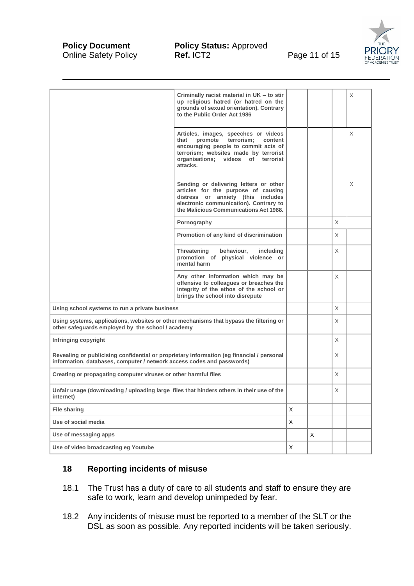

|                                                                                                                                                                     | Criminally racist material in UK - to stir<br>up religious hatred (or hatred on the<br>grounds of sexual orientation). Contrary<br>to the Public Order Act 1986                                                     |              |   |          | X |
|---------------------------------------------------------------------------------------------------------------------------------------------------------------------|---------------------------------------------------------------------------------------------------------------------------------------------------------------------------------------------------------------------|--------------|---|----------|---|
|                                                                                                                                                                     | Articles, images, speeches or videos<br>promote terrorism;<br>that<br>content<br>encouraging people to commit acts of<br>terrorism; websites made by terrorist<br>videos of terrorist<br>organisations;<br>attacks. |              |   |          | X |
|                                                                                                                                                                     | Sending or delivering letters or other<br>articles for the purpose of causing<br>distress or anxiety (this includes<br>electronic communication). Contrary to<br>the Malicious Communications Act 1988.             |              |   |          | X |
|                                                                                                                                                                     | Pornography                                                                                                                                                                                                         |              |   | X        |   |
|                                                                                                                                                                     | Promotion of any kind of discrimination                                                                                                                                                                             |              |   | X        |   |
|                                                                                                                                                                     | behaviour,<br>Threatening<br>including<br>promotion of physical violence or<br>mental harm                                                                                                                          |              |   | X        |   |
|                                                                                                                                                                     | Any other information which may be<br>offensive to colleagues or breaches the<br>integrity of the ethos of the school or<br>brings the school into disrepute                                                        |              |   | X        |   |
| Using school systems to run a private business                                                                                                                      |                                                                                                                                                                                                                     |              |   | $\times$ |   |
| Using systems, applications, websites or other mechanisms that bypass the filtering or<br>other safequards employed by the school / academy                         |                                                                                                                                                                                                                     |              |   | X        |   |
| Infringing copyright                                                                                                                                                |                                                                                                                                                                                                                     |              |   | X        |   |
| Revealing or publicising confidential or proprietary information (eg financial / personal<br>information, databases, computer / network access codes and passwords) |                                                                                                                                                                                                                     |              |   | X        |   |
| Creating or propagating computer viruses or other harmful files                                                                                                     |                                                                                                                                                                                                                     |              |   | X        |   |
| Unfair usage (downloading / uploading large files that hinders others in their use of the<br>internet)                                                              |                                                                                                                                                                                                                     |              |   | X        |   |
| <b>File sharing</b>                                                                                                                                                 |                                                                                                                                                                                                                     | X            |   |          |   |
| Use of social media                                                                                                                                                 |                                                                                                                                                                                                                     | $\mathsf{X}$ |   |          |   |
| Use of messaging apps                                                                                                                                               |                                                                                                                                                                                                                     |              | X |          |   |
| Use of video broadcasting eg Youtube                                                                                                                                |                                                                                                                                                                                                                     | X            |   |          |   |

## **18 Reporting incidents of misuse**

- 18.1 The Trust has a duty of care to all students and staff to ensure they are safe to work, learn and develop unimpeded by fear.
- 18.2 Any incidents of misuse must be reported to a member of the SLT or the DSL as soon as possible. Any reported incidents will be taken seriously.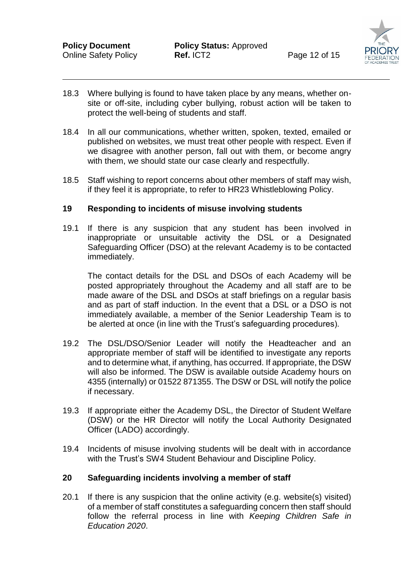

- 18.3 Where bullying is found to have taken place by any means, whether onsite or off-site, including cyber bullying, robust action will be taken to protect the well-being of students and staff.
- 18.4 In all our communications, whether written, spoken, texted, emailed or published on websites, we must treat other people with respect. Even if we disagree with another person, fall out with them, or become angry with them, we should state our case clearly and respectfully.
- 18.5 Staff wishing to report concerns about other members of staff may wish, if they feel it is appropriate, to refer to HR23 Whistleblowing Policy.

#### **19 Responding to incidents of misuse involving students**

19.1 If there is any suspicion that any student has been involved in inappropriate or unsuitable activity the DSL or a Designated Safeguarding Officer (DSO) at the relevant Academy is to be contacted immediately.

The contact details for the DSL and DSOs of each Academy will be posted appropriately throughout the Academy and all staff are to be made aware of the DSL and DSOs at staff briefings on a regular basis and as part of staff induction. In the event that a DSL or a DSO is not immediately available, a member of the Senior Leadership Team is to be alerted at once (in line with the Trust's safeguarding procedures).

- 19.2 The DSL/DSO/Senior Leader will notify the Headteacher and an appropriate member of staff will be identified to investigate any reports and to determine what, if anything, has occurred. If appropriate, the DSW will also be informed. The DSW is available outside Academy hours on 4355 (internally) or 01522 871355. The DSW or DSL will notify the police if necessary.
- 19.3 If appropriate either the Academy DSL, the Director of Student Welfare (DSW) or the HR Director will notify the Local Authority Designated Officer (LADO) accordingly.
- 19.4 Incidents of misuse involving students will be dealt with in accordance with the Trust's SW4 Student Behaviour and Discipline Policy.

#### **20 Safeguarding incidents involving a member of staff**

20.1 If there is any suspicion that the online activity (e.g. website(s) visited) of a member of staff constitutes a safeguarding concern then staff should follow the referral process in line with *Keeping Children Safe in Education 2020*.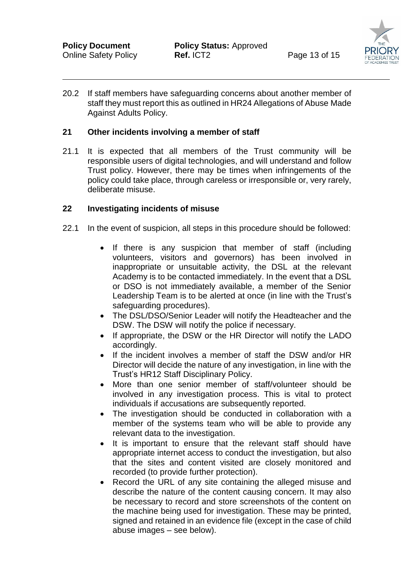

20.2 If staff members have safeguarding concerns about another member of staff they must report this as outlined in HR24 Allegations of Abuse Made Against Adults Policy.

#### **21 Other incidents involving a member of staff**

21.1 It is expected that all members of the Trust community will be responsible users of digital technologies, and will understand and follow Trust policy. However, there may be times when infringements of the policy could take place, through careless or irresponsible or, very rarely, deliberate misuse.

#### **22 Investigating incidents of misuse**

- 22.1 In the event of suspicion, all steps in this procedure should be followed:
	- If there is any suspicion that member of staff (including volunteers, visitors and governors) has been involved in inappropriate or unsuitable activity, the DSL at the relevant Academy is to be contacted immediately. In the event that a DSL or DSO is not immediately available, a member of the Senior Leadership Team is to be alerted at once (in line with the Trust's safeguarding procedures).
	- The DSL/DSO/Senior Leader will notify the Headteacher and the DSW. The DSW will notify the police if necessary.
	- If appropriate, the DSW or the HR Director will notify the LADO accordingly.
	- If the incident involves a member of staff the DSW and/or HR Director will decide the nature of any investigation, in line with the Trust's HR12 Staff Disciplinary Policy.
	- More than one senior member of staff/volunteer should be involved in any investigation process. This is vital to protect individuals if accusations are subsequently reported.
	- The investigation should be conducted in collaboration with a member of the systems team who will be able to provide any relevant data to the investigation.
	- It is important to ensure that the relevant staff should have appropriate internet access to conduct the investigation, but also that the sites and content visited are closely monitored and recorded (to provide further protection).
	- Record the URL of any site containing the alleged misuse and describe the nature of the content causing concern. It may also be necessary to record and store screenshots of the content on the machine being used for investigation. These may be printed, signed and retained in an evidence file (except in the case of child abuse images – see below).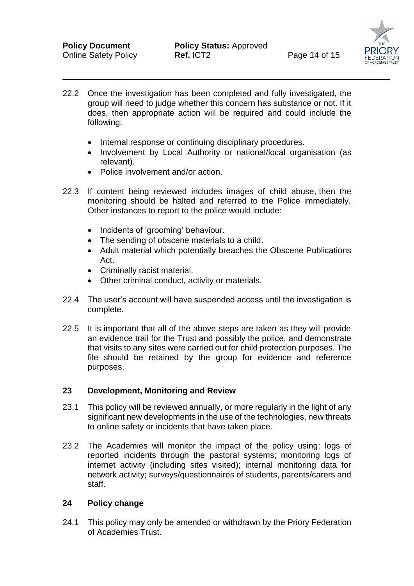- 22.2 Once the investigation has been completed and fully investigated, the group will need to judge whether this concern has substance or not. If it does, then appropriate action will be required and could include the following:
	- Internal response or continuing disciplinary procedures.
	- Involvement by Local Authority or national/local organisation (as relevant).
	- Police involvement and/or action.
- 22.3 If content being reviewed includes images of child abuse, then the monitoring should be halted and referred to the Police immediately. Other instances to report to the police would include:
	- Incidents of 'grooming' behaviour.
	- The sending of obscene materials to a child.
	- Adult material which potentially breaches the Obscene Publications Act.
	- Criminally racist material.
	- Other criminal conduct, activity or materials.
- 22.4 The user's account will have suspended access until the investigation is complete.
- 22.5 It is important that all of the above steps are taken as they will provide an evidence trail for the Trust and possibly the police, and demonstrate that visits to any sites were carried out for child protection purposes. The file should be retained by the group for evidence and reference purposes.

#### **23 Development, Monitoring and Review**

- 23.1 This policy will be reviewed annually, or more regularly in the light of any significant new developments in the use of the technologies, new threats to online safety or incidents that have taken place.
- 23.2 The Academies will monitor the impact of the policy using: logs of reported incidents through the pastoral systems; monitoring logs of internet activity (including sites visited); internal monitoring data for network activity; surveys/questionnaires of students, parents/carers and staff.

#### **24 Policy change**

24.1 This policy may only be amended or withdrawn by the Priory Federation of Academies Trust.